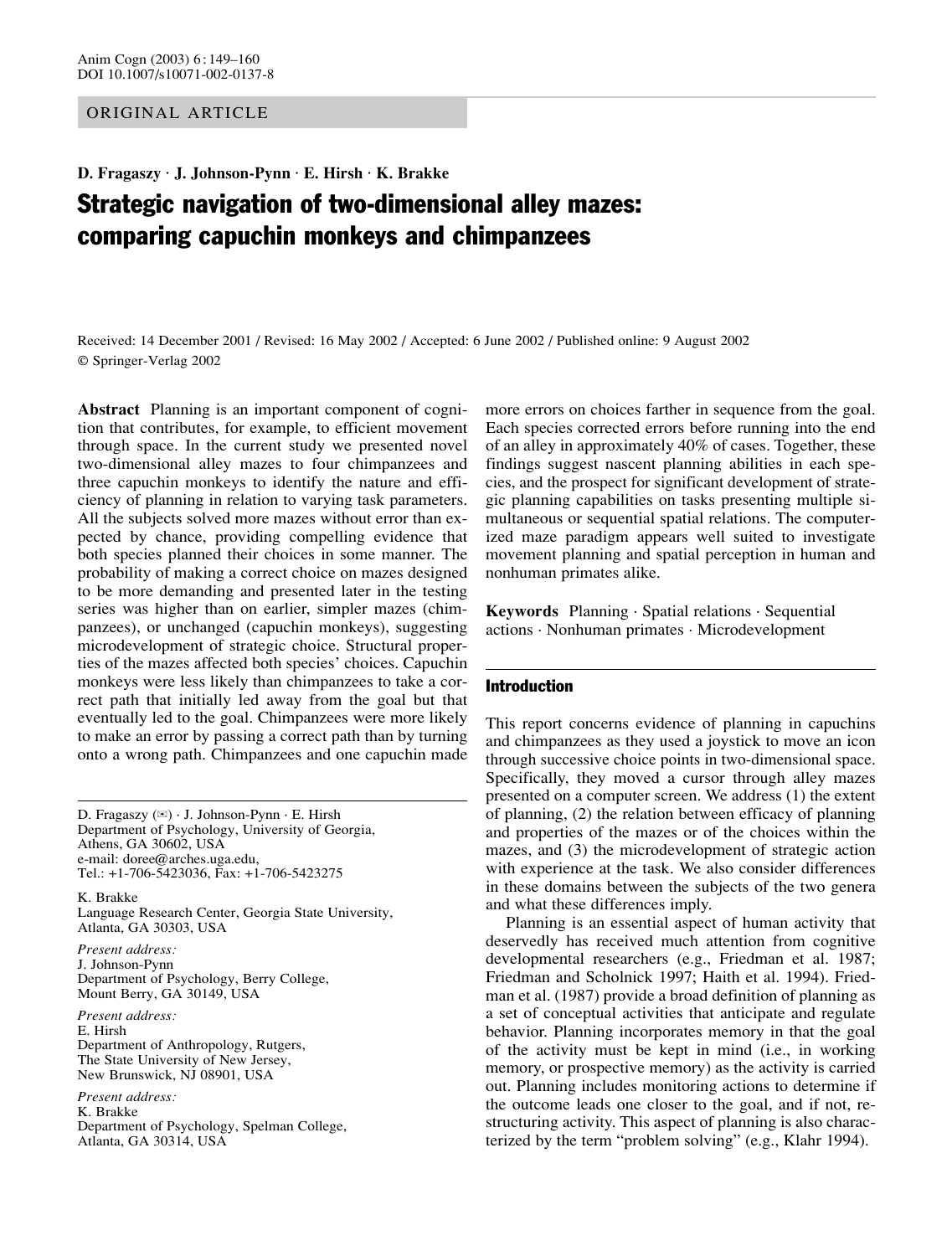# ORIGINAL ARTICLE

# **D. Fragaszy · J. Johnson-Pynn · E. Hirsh · K. Brakke**

# Strategic navigation of two-dimensional alley mazes: comparing capuchin monkeys and chimpanzees

Received: 14 December 2001 / Revised: 16 May 2002 / Accepted: 6 June 2002 / Published online: 9 August 2002 © Springer-Verlag 2002

**Abstract** Planning is an important component of cognition that contributes, for example, to efficient movement through space. In the current study we presented novel two-dimensional alley mazes to four chimpanzees and three capuchin monkeys to identify the nature and efficiency of planning in relation to varying task parameters. All the subjects solved more mazes without error than expected by chance, providing compelling evidence that both species planned their choices in some manner. The probability of making a correct choice on mazes designed to be more demanding and presented later in the testing series was higher than on earlier, simpler mazes (chimpanzees), or unchanged (capuchin monkeys), suggesting microdevelopment of strategic choice. Structural properties of the mazes affected both species' choices. Capuchin monkeys were less likely than chimpanzees to take a correct path that initially led away from the goal but that eventually led to the goal. Chimpanzees were more likely to make an error by passing a correct path than by turning onto a wrong path. Chimpanzees and one capuchin made

D. Fragaszy (✉) · J. Johnson-Pynn · E. Hirsh Department of Psychology, University of Georgia, Athens, GA 30602, USA e-mail: doree@arches.uga.edu, Tel.: +1-706-5423036, Fax: +1-706-5423275

K. Brakke Language Research Center, Georgia State University, Atlanta, GA 30303, USA

*Present address:* J. Johnson-Pynn Department of Psychology, Berry College, Mount Berry, GA 30149, USA

*Present address:* E. Hirsh Department of Anthropology, Rutgers, The State University of New Jersey, New Brunswick, NJ 08901, USA

*Present address:* K. Brakke Department of Psychology, Spelman College, Atlanta, GA 30314, USA

more errors on choices farther in sequence from the goal. Each species corrected errors before running into the end of an alley in approximately 40% of cases. Together, these findings suggest nascent planning abilities in each species, and the prospect for significant development of strategic planning capabilities on tasks presenting multiple simultaneous or sequential spatial relations. The computerized maze paradigm appears well suited to investigate movement planning and spatial perception in human and nonhuman primates alike.

**Keywords** Planning · Spatial relations · Sequential actions · Nonhuman primates · Microdevelopment

# Introduction

This report concerns evidence of planning in capuchins and chimpanzees as they used a joystick to move an icon through successive choice points in two-dimensional space. Specifically, they moved a cursor through alley mazes presented on a computer screen. We address (1) the extent of planning, (2) the relation between efficacy of planning and properties of the mazes or of the choices within the mazes, and (3) the microdevelopment of strategic action with experience at the task. We also consider differences in these domains between the subjects of the two genera and what these differences imply.

Planning is an essential aspect of human activity that deservedly has received much attention from cognitive developmental researchers (e.g., Friedman et al. 1987; Friedman and Scholnick 1997; Haith et al. 1994). Friedman et al. (1987) provide a broad definition of planning as a set of conceptual activities that anticipate and regulate behavior. Planning incorporates memory in that the goal of the activity must be kept in mind (i.e., in working memory, or prospective memory) as the activity is carried out. Planning includes monitoring actions to determine if the outcome leads one closer to the goal, and if not, restructuring activity. This aspect of planning is also characterized by the term "problem solving" (e.g., Klahr 1994).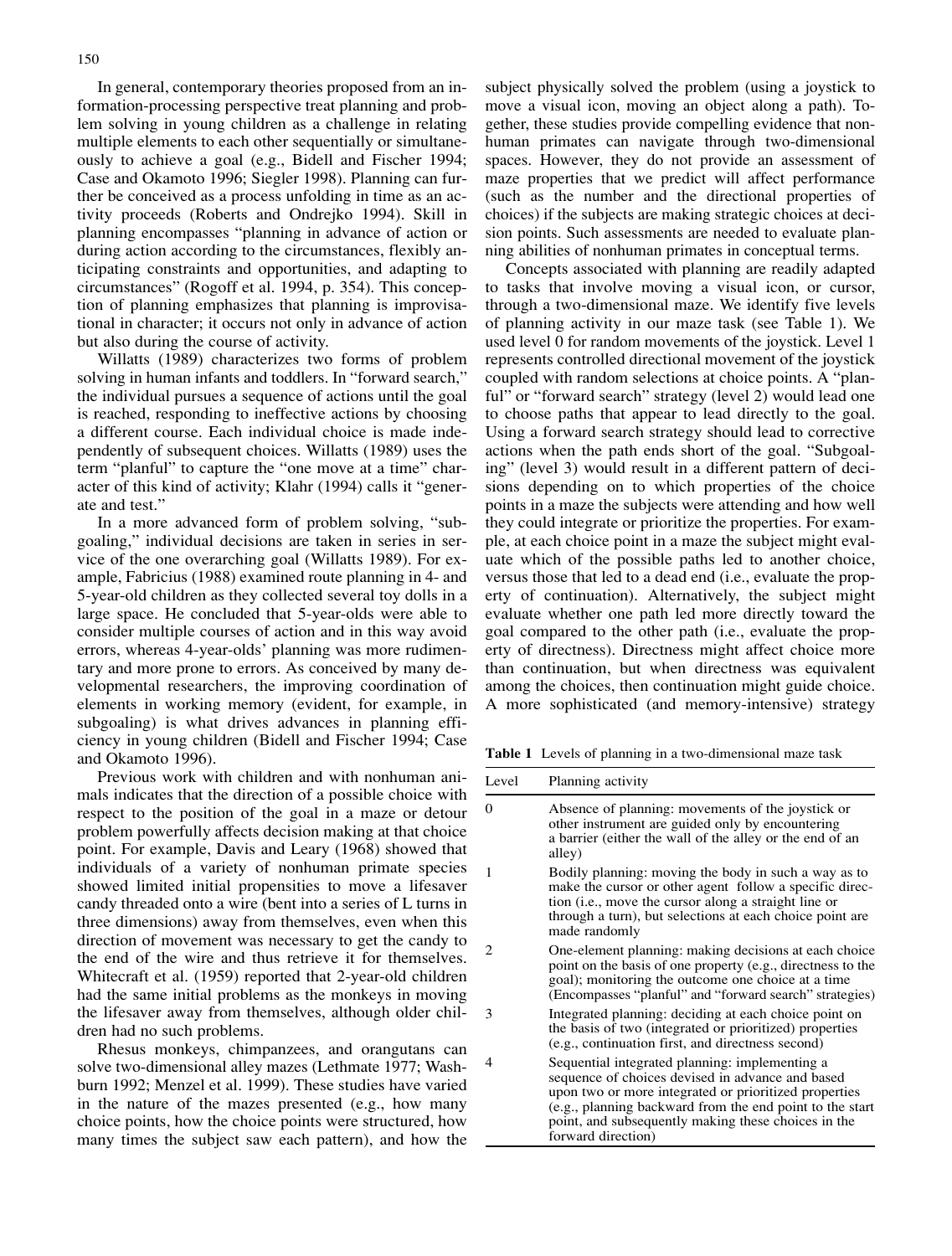In general, contemporary theories proposed from an information-processing perspective treat planning and problem solving in young children as a challenge in relating multiple elements to each other sequentially or simultaneously to achieve a goal (e.g., Bidell and Fischer 1994; Case and Okamoto 1996; Siegler 1998). Planning can further be conceived as a process unfolding in time as an activity proceeds (Roberts and Ondrejko 1994). Skill in planning encompasses "planning in advance of action or during action according to the circumstances, flexibly anticipating constraints and opportunities, and adapting to circumstances" (Rogoff et al. 1994, p. 354). This conception of planning emphasizes that planning is improvisational in character; it occurs not only in advance of action but also during the course of activity.

Willatts (1989) characterizes two forms of problem solving in human infants and toddlers. In "forward search," the individual pursues a sequence of actions until the goal is reached, responding to ineffective actions by choosing a different course. Each individual choice is made independently of subsequent choices. Willatts (1989) uses the term "planful" to capture the "one move at a time" character of this kind of activity; Klahr (1994) calls it "generate and test."

In a more advanced form of problem solving, "subgoaling," individual decisions are taken in series in service of the one overarching goal (Willatts 1989). For example, Fabricius (1988) examined route planning in 4- and 5-year-old children as they collected several toy dolls in a large space. He concluded that 5-year-olds were able to consider multiple courses of action and in this way avoid errors, whereas 4-year-olds' planning was more rudimentary and more prone to errors. As conceived by many developmental researchers, the improving coordination of elements in working memory (evident, for example, in subgoaling) is what drives advances in planning efficiency in young children (Bidell and Fischer 1994; Case and Okamoto 1996).

Previous work with children and with nonhuman animals indicates that the direction of a possible choice with respect to the position of the goal in a maze or detour problem powerfully affects decision making at that choice point. For example, Davis and Leary (1968) showed that individuals of a variety of nonhuman primate species showed limited initial propensities to move a lifesaver candy threaded onto a wire (bent into a series of L turns in three dimensions) away from themselves, even when this direction of movement was necessary to get the candy to the end of the wire and thus retrieve it for themselves. Whitecraft et al. (1959) reported that 2-year-old children had the same initial problems as the monkeys in moving the lifesaver away from themselves, although older children had no such problems.

Rhesus monkeys, chimpanzees, and orangutans can solve two-dimensional alley mazes (Lethmate 1977; Washburn 1992; Menzel et al. 1999). These studies have varied in the nature of the mazes presented (e.g., how many choice points, how the choice points were structured, how many times the subject saw each pattern), and how the

subject physically solved the problem (using a joystick to move a visual icon, moving an object along a path). Together, these studies provide compelling evidence that nonhuman primates can navigate through two-dimensional spaces. However, they do not provide an assessment of maze properties that we predict will affect performance (such as the number and the directional properties of choices) if the subjects are making strategic choices at decision points. Such assessments are needed to evaluate planning abilities of nonhuman primates in conceptual terms.

Concepts associated with planning are readily adapted to tasks that involve moving a visual icon, or cursor, through a two-dimensional maze. We identify five levels of planning activity in our maze task (see Table 1). We used level 0 for random movements of the joystick. Level 1 represents controlled directional movement of the joystick coupled with random selections at choice points. A "planful" or "forward search" strategy (level 2) would lead one to choose paths that appear to lead directly to the goal. Using a forward search strategy should lead to corrective actions when the path ends short of the goal. "Subgoaling" (level 3) would result in a different pattern of decisions depending on to which properties of the choice points in a maze the subjects were attending and how well they could integrate or prioritize the properties. For example, at each choice point in a maze the subject might evaluate which of the possible paths led to another choice, versus those that led to a dead end (i.e., evaluate the property of continuation). Alternatively, the subject might evaluate whether one path led more directly toward the goal compared to the other path (i.e., evaluate the property of directness). Directness might affect choice more than continuation, but when directness was equivalent among the choices, then continuation might guide choice. A more sophisticated (and memory-intensive) strategy

**Table 1** Levels of planning in a two-dimensional maze task

| Level          | Planning activity                                                                                                                                                                                                                                                                                    |
|----------------|------------------------------------------------------------------------------------------------------------------------------------------------------------------------------------------------------------------------------------------------------------------------------------------------------|
| $\Omega$       | Absence of planning: movements of the joystick or<br>other instrument are guided only by encountering<br>a barrier (either the wall of the alley or the end of an<br>alley)                                                                                                                          |
| 1              | Bodily planning: moving the body in such a way as to<br>make the cursor or other agent follow a specific direc-<br>tion ( <i>i.e.</i> , move the cursor along a straight line or<br>through a turn), but selections at each choice point are<br>made randomly                                        |
| $\overline{c}$ | One-element planning: making decisions at each choice<br>point on the basis of one property (e.g., directness to the<br>goal); monitoring the outcome one choice at a time<br>(Encompasses "planful" and "forward search" strategies)                                                                |
| 3              | Integrated planning: deciding at each choice point on<br>the basis of two (integrated or prioritized) properties<br>(e.g., continuation first, and directness second)                                                                                                                                |
| 4              | Sequential integrated planning: implementing a<br>sequence of choices devised in advance and based<br>upon two or more integrated or prioritized properties<br>(e.g., planning backward from the end point to the start<br>point, and subsequently making these choices in the<br>forward direction) |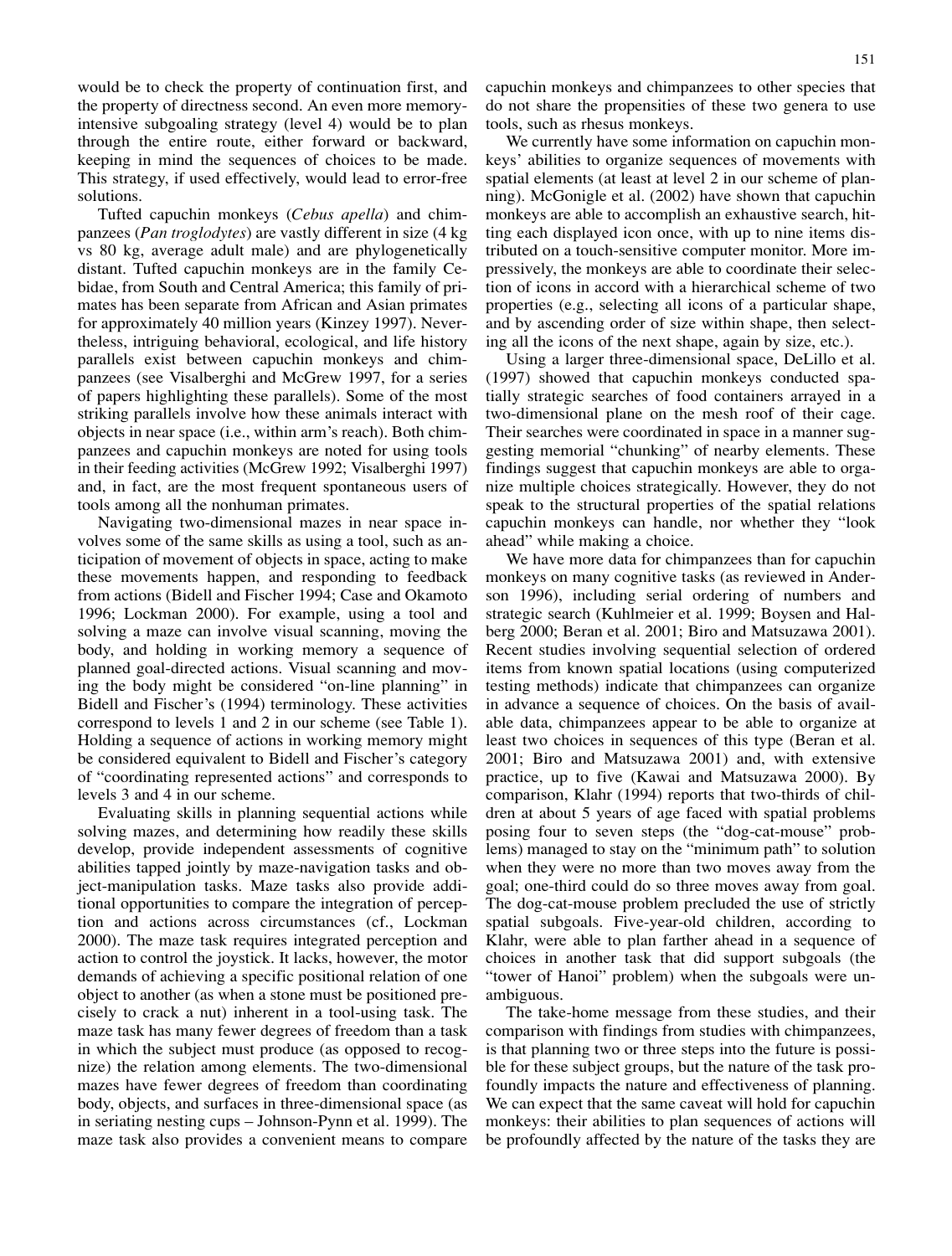would be to check the property of continuation first, and the property of directness second. An even more memoryintensive subgoaling strategy (level 4) would be to plan through the entire route, either forward or backward, keeping in mind the sequences of choices to be made. This strategy, if used effectively, would lead to error-free solutions.

Tufted capuchin monkeys (*Cebus apella*) and chimpanzees (*Pan troglodytes*) are vastly different in size (4 kg vs 80 kg, average adult male) and are phylogenetically distant. Tufted capuchin monkeys are in the family Cebidae, from South and Central America; this family of primates has been separate from African and Asian primates for approximately 40 million years (Kinzey 1997). Nevertheless, intriguing behavioral, ecological, and life history parallels exist between capuchin monkeys and chimpanzees (see Visalberghi and McGrew 1997, for a series of papers highlighting these parallels). Some of the most striking parallels involve how these animals interact with objects in near space (i.e., within arm's reach). Both chimpanzees and capuchin monkeys are noted for using tools in their feeding activities (McGrew 1992; Visalberghi 1997) and, in fact, are the most frequent spontaneous users of tools among all the nonhuman primates.

Navigating two-dimensional mazes in near space involves some of the same skills as using a tool, such as anticipation of movement of objects in space, acting to make these movements happen, and responding to feedback from actions (Bidell and Fischer 1994; Case and Okamoto 1996; Lockman 2000). For example, using a tool and solving a maze can involve visual scanning, moving the body, and holding in working memory a sequence of planned goal-directed actions. Visual scanning and moving the body might be considered "on-line planning" in Bidell and Fischer's (1994) terminology. These activities correspond to levels 1 and 2 in our scheme (see Table 1). Holding a sequence of actions in working memory might be considered equivalent to Bidell and Fischer's category of "coordinating represented actions" and corresponds to levels 3 and 4 in our scheme.

Evaluating skills in planning sequential actions while solving mazes, and determining how readily these skills develop, provide independent assessments of cognitive abilities tapped jointly by maze-navigation tasks and object-manipulation tasks. Maze tasks also provide additional opportunities to compare the integration of perception and actions across circumstances (cf., Lockman 2000). The maze task requires integrated perception and action to control the joystick. It lacks, however, the motor demands of achieving a specific positional relation of one object to another (as when a stone must be positioned precisely to crack a nut) inherent in a tool-using task. The maze task has many fewer degrees of freedom than a task in which the subject must produce (as opposed to recognize) the relation among elements. The two-dimensional mazes have fewer degrees of freedom than coordinating body, objects, and surfaces in three-dimensional space (as in seriating nesting cups – Johnson-Pynn et al. 1999). The maze task also provides a convenient means to compare

capuchin monkeys and chimpanzees to other species that do not share the propensities of these two genera to use tools, such as rhesus monkeys.

We currently have some information on capuchin monkeys' abilities to organize sequences of movements with spatial elements (at least at level 2 in our scheme of planning). McGonigle et al. (2002) have shown that capuchin monkeys are able to accomplish an exhaustive search, hitting each displayed icon once, with up to nine items distributed on a touch-sensitive computer monitor. More impressively, the monkeys are able to coordinate their selection of icons in accord with a hierarchical scheme of two properties (e.g., selecting all icons of a particular shape, and by ascending order of size within shape, then selecting all the icons of the next shape, again by size, etc.).

Using a larger three-dimensional space, DeLillo et al. (1997) showed that capuchin monkeys conducted spatially strategic searches of food containers arrayed in a two-dimensional plane on the mesh roof of their cage. Their searches were coordinated in space in a manner suggesting memorial "chunking" of nearby elements. These findings suggest that capuchin monkeys are able to organize multiple choices strategically. However, they do not speak to the structural properties of the spatial relations capuchin monkeys can handle, nor whether they "look ahead" while making a choice.

We have more data for chimpanzees than for capuchin monkeys on many cognitive tasks (as reviewed in Anderson 1996), including serial ordering of numbers and strategic search (Kuhlmeier et al. 1999; Boysen and Halberg 2000; Beran et al. 2001; Biro and Matsuzawa 2001). Recent studies involving sequential selection of ordered items from known spatial locations (using computerized testing methods) indicate that chimpanzees can organize in advance a sequence of choices. On the basis of available data, chimpanzees appear to be able to organize at least two choices in sequences of this type (Beran et al. 2001; Biro and Matsuzawa 2001) and, with extensive practice, up to five (Kawai and Matsuzawa 2000). By comparison, Klahr (1994) reports that two-thirds of children at about 5 years of age faced with spatial problems posing four to seven steps (the "dog-cat-mouse" problems) managed to stay on the "minimum path" to solution when they were no more than two moves away from the goal; one-third could do so three moves away from goal. The dog-cat-mouse problem precluded the use of strictly spatial subgoals. Five-year-old children, according to Klahr, were able to plan farther ahead in a sequence of choices in another task that did support subgoals (the "tower of Hanoi" problem) when the subgoals were unambiguous.

The take-home message from these studies, and their comparison with findings from studies with chimpanzees, is that planning two or three steps into the future is possible for these subject groups, but the nature of the task profoundly impacts the nature and effectiveness of planning. We can expect that the same caveat will hold for capuchin monkeys: their abilities to plan sequences of actions will be profoundly affected by the nature of the tasks they are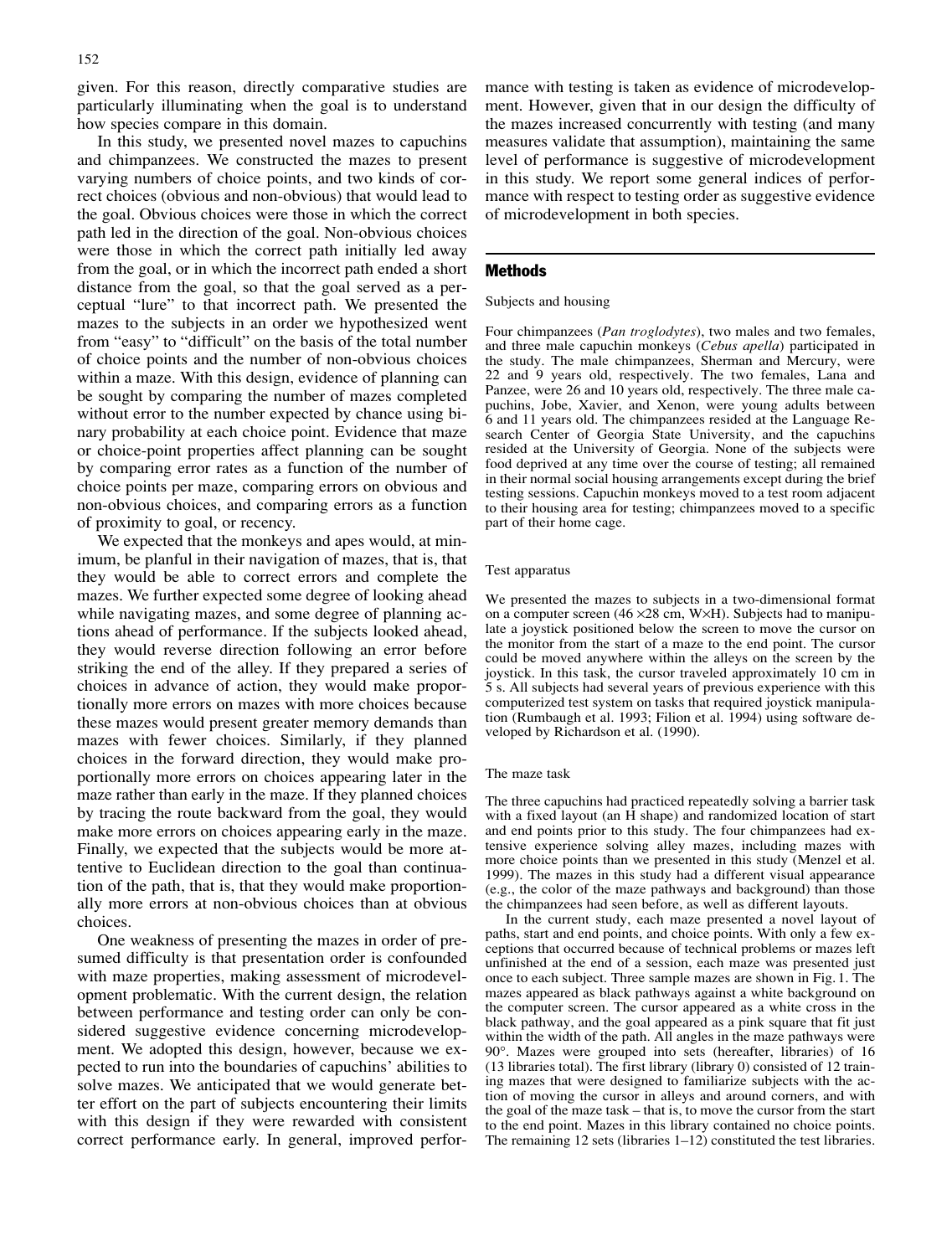given. For this reason, directly comparative studies are particularly illuminating when the goal is to understand how species compare in this domain.

In this study, we presented novel mazes to capuchins and chimpanzees. We constructed the mazes to present varying numbers of choice points, and two kinds of correct choices (obvious and non-obvious) that would lead to the goal. Obvious choices were those in which the correct path led in the direction of the goal. Non-obvious choices were those in which the correct path initially led away from the goal, or in which the incorrect path ended a short distance from the goal, so that the goal served as a perceptual "lure" to that incorrect path. We presented the mazes to the subjects in an order we hypothesized went from "easy" to "difficult" on the basis of the total number of choice points and the number of non-obvious choices within a maze. With this design, evidence of planning can be sought by comparing the number of mazes completed without error to the number expected by chance using binary probability at each choice point. Evidence that maze or choice-point properties affect planning can be sought by comparing error rates as a function of the number of choice points per maze, comparing errors on obvious and non-obvious choices, and comparing errors as a function of proximity to goal, or recency.

We expected that the monkeys and apes would, at minimum, be planful in their navigation of mazes, that is, that they would be able to correct errors and complete the mazes. We further expected some degree of looking ahead while navigating mazes, and some degree of planning actions ahead of performance. If the subjects looked ahead, they would reverse direction following an error before striking the end of the alley. If they prepared a series of choices in advance of action, they would make proportionally more errors on mazes with more choices because these mazes would present greater memory demands than mazes with fewer choices. Similarly, if they planned choices in the forward direction, they would make proportionally more errors on choices appearing later in the maze rather than early in the maze. If they planned choices by tracing the route backward from the goal, they would make more errors on choices appearing early in the maze. Finally, we expected that the subjects would be more attentive to Euclidean direction to the goal than continuation of the path, that is, that they would make proportionally more errors at non-obvious choices than at obvious choices.

One weakness of presenting the mazes in order of presumed difficulty is that presentation order is confounded with maze properties, making assessment of microdevelopment problematic. With the current design, the relation between performance and testing order can only be considered suggestive evidence concerning microdevelopment. We adopted this design, however, because we expected to run into the boundaries of capuchins' abilities to solve mazes. We anticipated that we would generate better effort on the part of subjects encountering their limits with this design if they were rewarded with consistent correct performance early. In general, improved performance with testing is taken as evidence of microdevelopment. However, given that in our design the difficulty of the mazes increased concurrently with testing (and many measures validate that assumption), maintaining the same level of performance is suggestive of microdevelopment in this study. We report some general indices of performance with respect to testing order as suggestive evidence of microdevelopment in both species.

# Methods

### Subjects and housing

Four chimpanzees (*Pan troglodytes*), two males and two females, and three male capuchin monkeys (*Cebus apella*) participated in the study. The male chimpanzees, Sherman and Mercury, were 22 and 9 years old, respectively. The two females, Lana and Panzee, were 26 and 10 years old, respectively. The three male capuchins, Jobe, Xavier, and Xenon, were young adults between 6 and 11 years old. The chimpanzees resided at the Language Research Center of Georgia State University, and the capuchins resided at the University of Georgia. None of the subjects were food deprived at any time over the course of testing; all remained in their normal social housing arrangements except during the brief testing sessions. Capuchin monkeys moved to a test room adjacent to their housing area for testing; chimpanzees moved to a specific part of their home cage.

# Test apparatus

We presented the mazes to subjects in a two-dimensional format on a computer screen (46 ×28 cm, W×H). Subjects had to manipulate a joystick positioned below the screen to move the cursor on the monitor from the start of a maze to the end point. The cursor could be moved anywhere within the alleys on the screen by the joystick. In this task, the cursor traveled approximately 10 cm in 5 s. All subjects had several years of previous experience with this computerized test system on tasks that required joystick manipulation (Rumbaugh et al. 1993; Filion et al. 1994) using software developed by Richardson et al. (1990).

#### The maze task

The three capuchins had practiced repeatedly solving a barrier task with a fixed layout (an H shape) and randomized location of start and end points prior to this study. The four chimpanzees had extensive experience solving alley mazes, including mazes with more choice points than we presented in this study (Menzel et al. 1999). The mazes in this study had a different visual appearance (e.g., the color of the maze pathways and background) than those the chimpanzees had seen before, as well as different layouts.

In the current study, each maze presented a novel layout of paths, start and end points, and choice points. With only a few exceptions that occurred because of technical problems or mazes left unfinished at the end of a session, each maze was presented just once to each subject. Three sample mazes are shown in Fig. 1. The mazes appeared as black pathways against a white background on the computer screen. The cursor appeared as a white cross in the black pathway, and the goal appeared as a pink square that fit just within the width of the path. All angles in the maze pathways were 90°. Mazes were grouped into sets (hereafter, libraries) of 16 (13 libraries total). The first library (library 0) consisted of 12 training mazes that were designed to familiarize subjects with the action of moving the cursor in alleys and around corners, and with the goal of the maze task – that is, to move the cursor from the start to the end point. Mazes in this library contained no choice points. The remaining 12 sets (libraries 1–12) constituted the test libraries.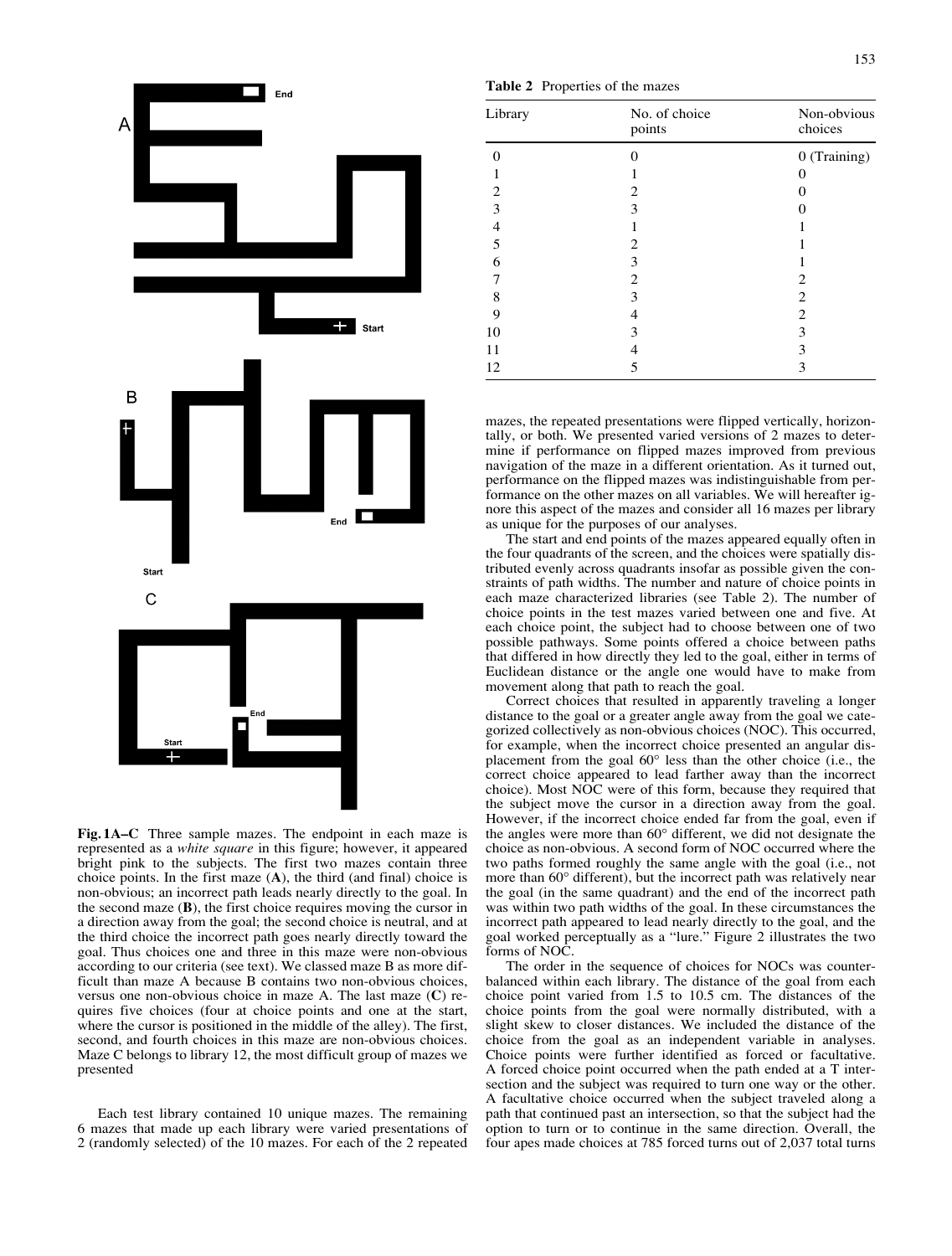

**Fig. 1A–C** Three sample mazes. The endpoint in each maze is represented as a *white square* in this figure; however, it appeared bright pink to the subjects. The first two mazes contain three choice points. In the first maze (**A**), the third (and final) choice is non-obvious; an incorrect path leads nearly directly to the goal. In the second maze (**B**), the first choice requires moving the cursor in a direction away from the goal; the second choice is neutral, and at the third choice the incorrect path goes nearly directly toward the goal. Thus choices one and three in this maze were non-obvious according to our criteria (see text). We classed maze B as more difficult than maze A because B contains two non-obvious choices, versus one non-obvious choice in maze A. The last maze (**C**) requires five choices (four at choice points and one at the start, where the cursor is positioned in the middle of the alley). The first, second, and fourth choices in this maze are non-obvious choices. Maze C belongs to library 12, the most difficult group of mazes we presented

Each test library contained 10 unique mazes. The remaining 6 mazes that made up each library were varied presentations of 2 (randomly selected) of the 10 mazes. For each of the 2 repeated

**Table 2** Properties of the mazes

| Library        | No. of choice<br>points | Non-obvious<br>choices |
|----------------|-------------------------|------------------------|
| $\Omega$       |                         | 0 (Training)           |
|                |                         |                        |
| $\overline{2}$ | 2                       |                        |
| 3              | 3                       |                        |
| 4              |                         |                        |
| 5              | 2                       |                        |
| 6              | 3                       |                        |
| 7              | $\overline{c}$          | 2                      |
| 8              | 3                       | $\overline{c}$         |
| 9              | 4                       | $\overline{2}$         |
| 10             | 3                       | 3                      |
| 11             | 4                       | 3                      |
| 12             | 5                       | 3                      |

mazes, the repeated presentations were flipped vertically, horizontally, or both. We presented varied versions of 2 mazes to determine if performance on flipped mazes improved from previous navigation of the maze in a different orientation. As it turned out, performance on the flipped mazes was indistinguishable from performance on the other mazes on all variables. We will hereafter ignore this aspect of the mazes and consider all 16 mazes per library as unique for the purposes of our analyses.

The start and end points of the mazes appeared equally often in the four quadrants of the screen, and the choices were spatially distributed evenly across quadrants insofar as possible given the constraints of path widths. The number and nature of choice points in each maze characterized libraries (see Table 2). The number of choice points in the test mazes varied between one and five. At each choice point, the subject had to choose between one of two possible pathways. Some points offered a choice between paths that differed in how directly they led to the goal, either in terms of Euclidean distance or the angle one would have to make from movement along that path to reach the goal.

Correct choices that resulted in apparently traveling a longer distance to the goal or a greater angle away from the goal we categorized collectively as non-obvious choices (NOC). This occurred, for example, when the incorrect choice presented an angular displacement from the goal 60° less than the other choice (i.e., the correct choice appeared to lead farther away than the incorrect choice). Most NOC were of this form, because they required that the subject move the cursor in a direction away from the goal. However, if the incorrect choice ended far from the goal, even if the angles were more than 60° different, we did not designate the choice as non-obvious. A second form of NOC occurred where the two paths formed roughly the same angle with the goal (i.e., not more than 60° different), but the incorrect path was relatively near the goal (in the same quadrant) and the end of the incorrect path was within two path widths of the goal. In these circumstances the incorrect path appeared to lead nearly directly to the goal, and the goal worked perceptually as a "lure." Figure 2 illustrates the two forms of NOC.

The order in the sequence of choices for NOCs was counterbalanced within each library. The distance of the goal from each choice point varied from 1.5 to 10.5 cm. The distances of the choice points from the goal were normally distributed, with a slight skew to closer distances. We included the distance of the choice from the goal as an independent variable in analyses. Choice points were further identified as forced or facultative. A forced choice point occurred when the path ended at a T intersection and the subject was required to turn one way or the other. A facultative choice occurred when the subject traveled along a path that continued past an intersection, so that the subject had the option to turn or to continue in the same direction. Overall, the four apes made choices at 785 forced turns out of 2,037 total turns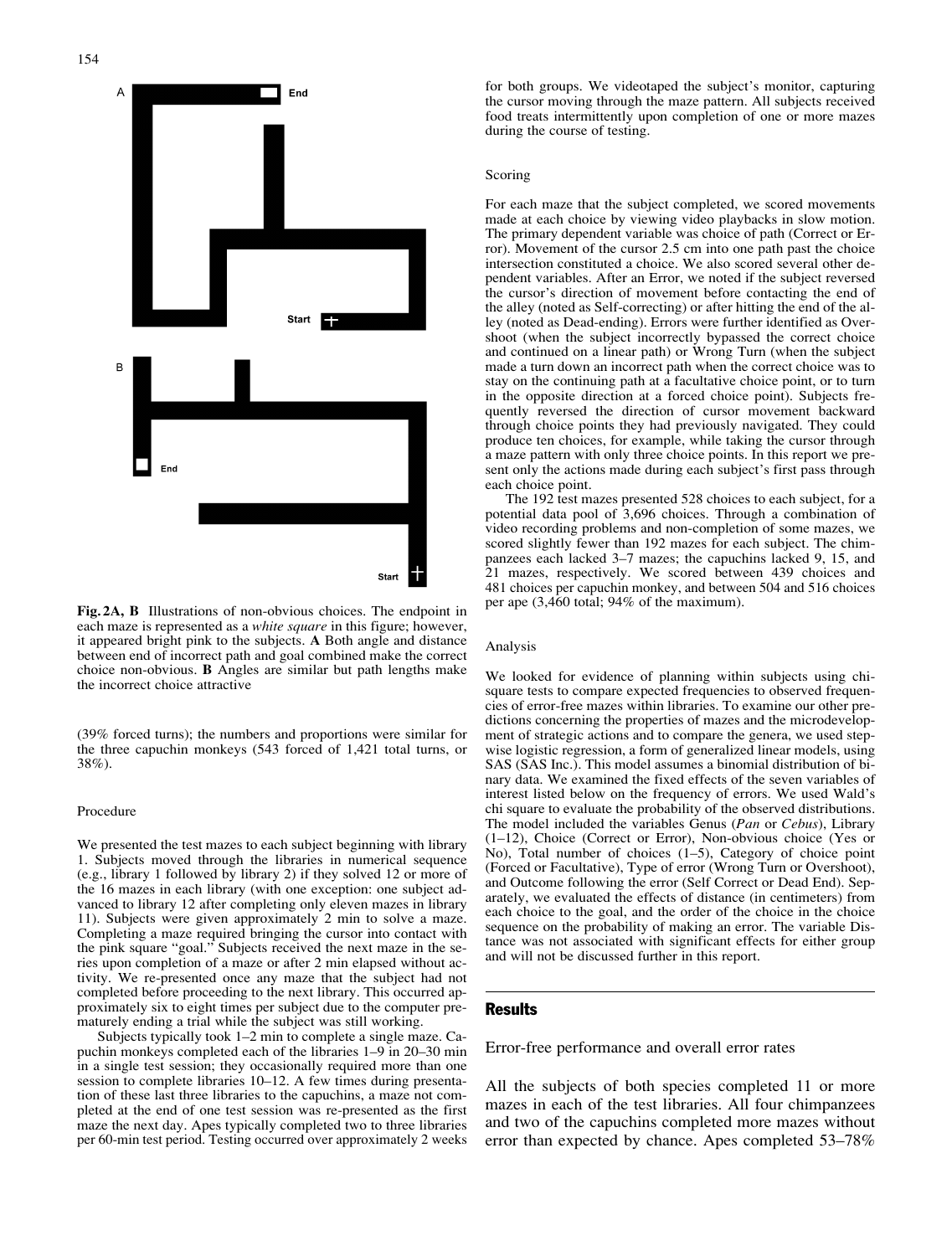

**Fig. 2A, B** Illustrations of non-obvious choices. The endpoint in each maze is represented as a *white square* in this figure; however, it appeared bright pink to the subjects. **A** Both angle and distance between end of incorrect path and goal combined make the correct choice non-obvious. **B** Angles are similar but path lengths make the incorrect choice attractive

(39% forced turns); the numbers and proportions were similar for the three capuchin monkeys (543 forced of 1,421 total turns, or 38%).

# Procedure

We presented the test mazes to each subject beginning with library 1. Subjects moved through the libraries in numerical sequence (e.g., library 1 followed by library 2) if they solved 12 or more of the 16 mazes in each library (with one exception: one subject advanced to library 12 after completing only eleven mazes in library 11). Subjects were given approximately 2 min to solve a maze. Completing a maze required bringing the cursor into contact with the pink square "goal." Subjects received the next maze in the series upon completion of a maze or after 2 min elapsed without activity. We re-presented once any maze that the subject had not completed before proceeding to the next library. This occurred approximately six to eight times per subject due to the computer prematurely ending a trial while the subject was still working.

Subjects typically took 1–2 min to complete a single maze. Capuchin monkeys completed each of the libraries 1–9 in 20–30 min in a single test session; they occasionally required more than one session to complete libraries 10–12. A few times during presentation of these last three libraries to the capuchins, a maze not completed at the end of one test session was re-presented as the first maze the next day. Apes typically completed two to three libraries per 60-min test period. Testing occurred over approximately 2 weeks for both groups. We videotaped the subject's monitor, capturing the cursor moving through the maze pattern. All subjects received food treats intermittently upon completion of one or more mazes during the course of testing.

#### Scoring

For each maze that the subject completed, we scored movements made at each choice by viewing video playbacks in slow motion. The primary dependent variable was choice of path (Correct or Error). Movement of the cursor 2.5 cm into one path past the choice intersection constituted a choice. We also scored several other dependent variables. After an Error, we noted if the subject reversed the cursor's direction of movement before contacting the end of the alley (noted as Self-correcting) or after hitting the end of the alley (noted as Dead-ending). Errors were further identified as Overshoot (when the subject incorrectly bypassed the correct choice and continued on a linear path) or Wrong Turn (when the subject made a turn down an incorrect path when the correct choice was to stay on the continuing path at a facultative choice point, or to turn in the opposite direction at a forced choice point). Subjects frequently reversed the direction of cursor movement backward through choice points they had previously navigated. They could produce ten choices, for example, while taking the cursor through a maze pattern with only three choice points. In this report we present only the actions made during each subject's first pass through each choice point.

The 192 test mazes presented 528 choices to each subject, for a potential data pool of 3,696 choices. Through a combination of video recording problems and non-completion of some mazes, we scored slightly fewer than 192 mazes for each subject. The chimpanzees each lacked 3–7 mazes; the capuchins lacked 9, 15, and 21 mazes, respectively. We scored between 439 choices and 481 choices per capuchin monkey, and between 504 and 516 choices per ape (3,460 total; 94% of the maximum).

#### Analysis

We looked for evidence of planning within subjects using chisquare tests to compare expected frequencies to observed frequencies of error-free mazes within libraries. To examine our other predictions concerning the properties of mazes and the microdevelopment of strategic actions and to compare the genera, we used stepwise logistic regression, a form of generalized linear models, using SAS (SAS Inc.). This model assumes a binomial distribution of binary data. We examined the fixed effects of the seven variables of interest listed below on the frequency of errors. We used Wald's chi square to evaluate the probability of the observed distributions. The model included the variables Genus (*Pan* or *Cebus*), Library (1–12), Choice (Correct or Error), Non-obvious choice (Yes or No), Total number of choices (1–5), Category of choice point (Forced or Facultative), Type of error (Wrong Turn or Overshoot), and Outcome following the error (Self Correct or Dead End). Separately, we evaluated the effects of distance (in centimeters) from each choice to the goal, and the order of the choice in the choice sequence on the probability of making an error. The variable Distance was not associated with significant effects for either group and will not be discussed further in this report.

# **Results**

Error-free performance and overall error rates

All the subjects of both species completed 11 or more mazes in each of the test libraries. All four chimpanzees and two of the capuchins completed more mazes without error than expected by chance. Apes completed 53–78%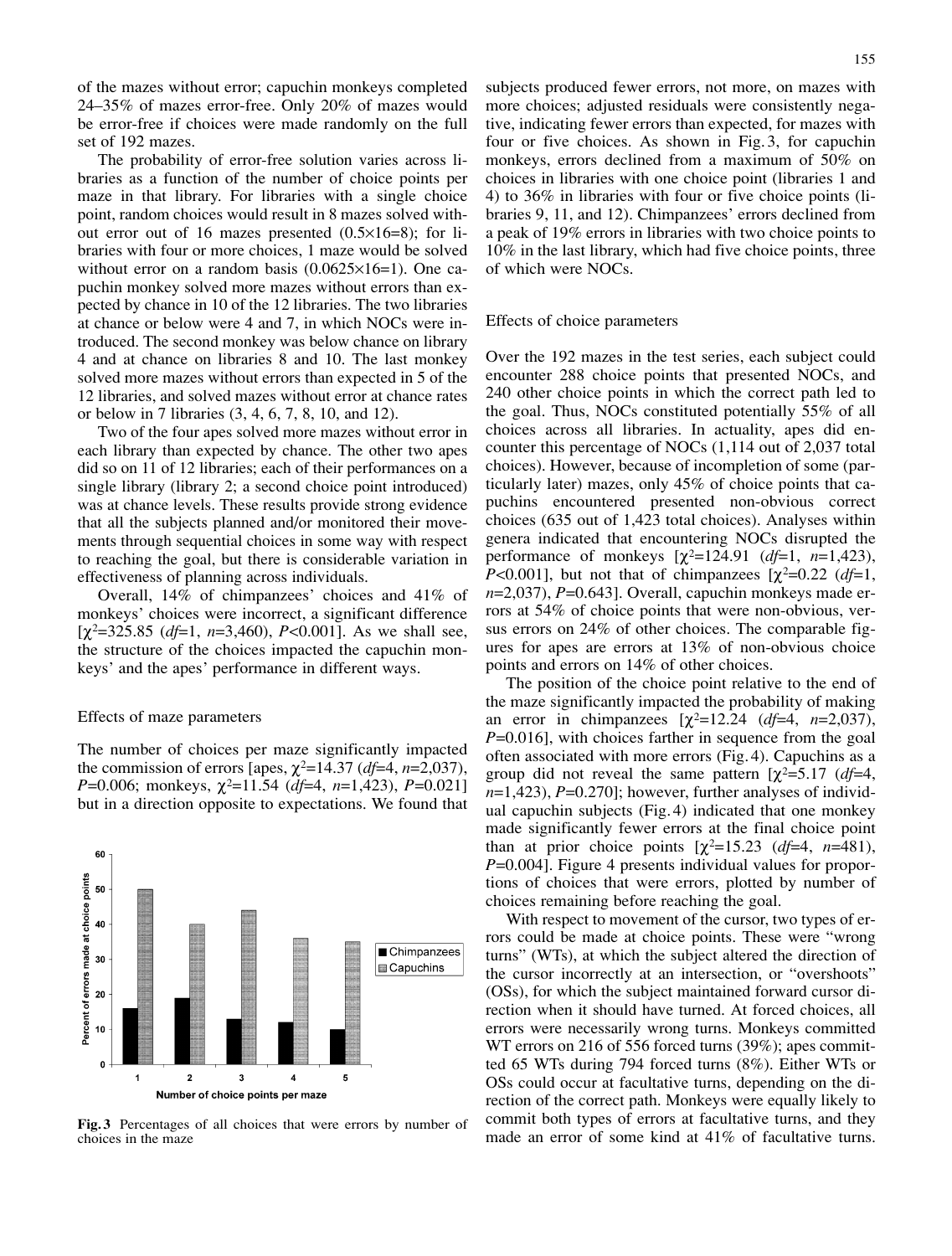of the mazes without error; capuchin monkeys completed 24–35% of mazes error-free. Only 20% of mazes would be error-free if choices were made randomly on the full set of 192 mazes.

The probability of error-free solution varies across libraries as a function of the number of choice points per maze in that library. For libraries with a single choice point, random choices would result in 8 mazes solved without error out of 16 mazes presented  $(0.5 \times 16=8)$ ; for libraries with four or more choices, 1 maze would be solved without error on a random basis  $(0.0625 \times 16=1)$ . One capuchin monkey solved more mazes without errors than expected by chance in 10 of the 12 libraries. The two libraries at chance or below were 4 and 7, in which NOCs were introduced. The second monkey was below chance on library 4 and at chance on libraries 8 and 10. The last monkey solved more mazes without errors than expected in 5 of the 12 libraries, and solved mazes without error at chance rates or below in 7 libraries (3, 4, 6, 7, 8, 10, and 12).

Two of the four apes solved more mazes without error in each library than expected by chance. The other two apes did so on 11 of 12 libraries; each of their performances on a single library (library 2; a second choice point introduced) was at chance levels. These results provide strong evidence that all the subjects planned and/or monitored their movements through sequential choices in some way with respect to reaching the goal, but there is considerable variation in effectiveness of planning across individuals.

Overall, 14% of chimpanzees' choices and 41% of monkeys' choices were incorrect, a significant difference  $[χ<sup>2</sup>=325.85$  (*df*=1, *n*=3,460), *P*<0.001]. As we shall see, the structure of the choices impacted the capuchin monkeys' and the apes' performance in different ways.

# Effects of maze parameters

The number of choices per maze significantly impacted the commission of errors [apes,  $\chi^2$ =14.37 (*df*=4, *n*=2,037), *P*=0.006; monkeys,  $\chi^2$ =11.54 (*df*=4, *n*=1,423), *P*=0.021] but in a direction opposite to expectations. We found that



**Fig. 3** Percentages of all choices that were errors by number of choices in the maze

subjects produced fewer errors, not more, on mazes with more choices; adjusted residuals were consistently negative, indicating fewer errors than expected, for mazes with four or five choices. As shown in Fig. 3, for capuchin monkeys, errors declined from a maximum of 50% on choices in libraries with one choice point (libraries 1 and 4) to 36% in libraries with four or five choice points (libraries 9, 11, and 12). Chimpanzees' errors declined from a peak of 19% errors in libraries with two choice points to 10% in the last library, which had five choice points, three of which were NOCs.

#### Effects of choice parameters

Over the 192 mazes in the test series, each subject could encounter 288 choice points that presented NOCs, and 240 other choice points in which the correct path led to the goal. Thus, NOCs constituted potentially 55% of all choices across all libraries. In actuality, apes did encounter this percentage of NOCs (1,114 out of 2,037 total choices). However, because of incompletion of some (particularly later) mazes, only 45% of choice points that capuchins encountered presented non-obvious correct choices (635 out of 1,423 total choices). Analyses within genera indicated that encountering NOCs disrupted the performance of monkeys  $[\chi^2=124.91 \, (df=1, n=1, 423)]$ , *P*<0.001], but not that of chimpanzees  $[\chi^2=0.22 \ (df=1,$ *n*=2,037), *P*=0.643]. Overall, capuchin monkeys made errors at 54% of choice points that were non-obvious, versus errors on 24% of other choices. The comparable figures for apes are errors at 13% of non-obvious choice points and errors on 14% of other choices.

The position of the choice point relative to the end of the maze significantly impacted the probability of making an error in chimpanzees  $[\chi^2=12.24 \, (df=4, n=2.037),$ *P*=0.016], with choices farther in sequence from the goal often associated with more errors (Fig. 4). Capuchins as a group did not reveal the same pattern  $[\chi^2=5.17 \, (df=4,$  $n=1,423$ ,  $P=0.270$ ; however, further analyses of individual capuchin subjects (Fig. 4) indicated that one monkey made significantly fewer errors at the final choice point than at prior choice points  $[\chi^2=15.23 \, (df=4, n=481)]$ , *P*=0.004]. Figure 4 presents individual values for proportions of choices that were errors, plotted by number of choices remaining before reaching the goal.

With respect to movement of the cursor, two types of errors could be made at choice points. These were "wrong turns" (WTs), at which the subject altered the direction of the cursor incorrectly at an intersection, or "overshoots" (OSs), for which the subject maintained forward cursor direction when it should have turned. At forced choices, all errors were necessarily wrong turns. Monkeys committed WT errors on 216 of 556 forced turns (39%); apes committed 65 WTs during 794 forced turns (8%). Either WTs or OSs could occur at facultative turns, depending on the direction of the correct path. Monkeys were equally likely to commit both types of errors at facultative turns, and they made an error of some kind at 41% of facultative turns.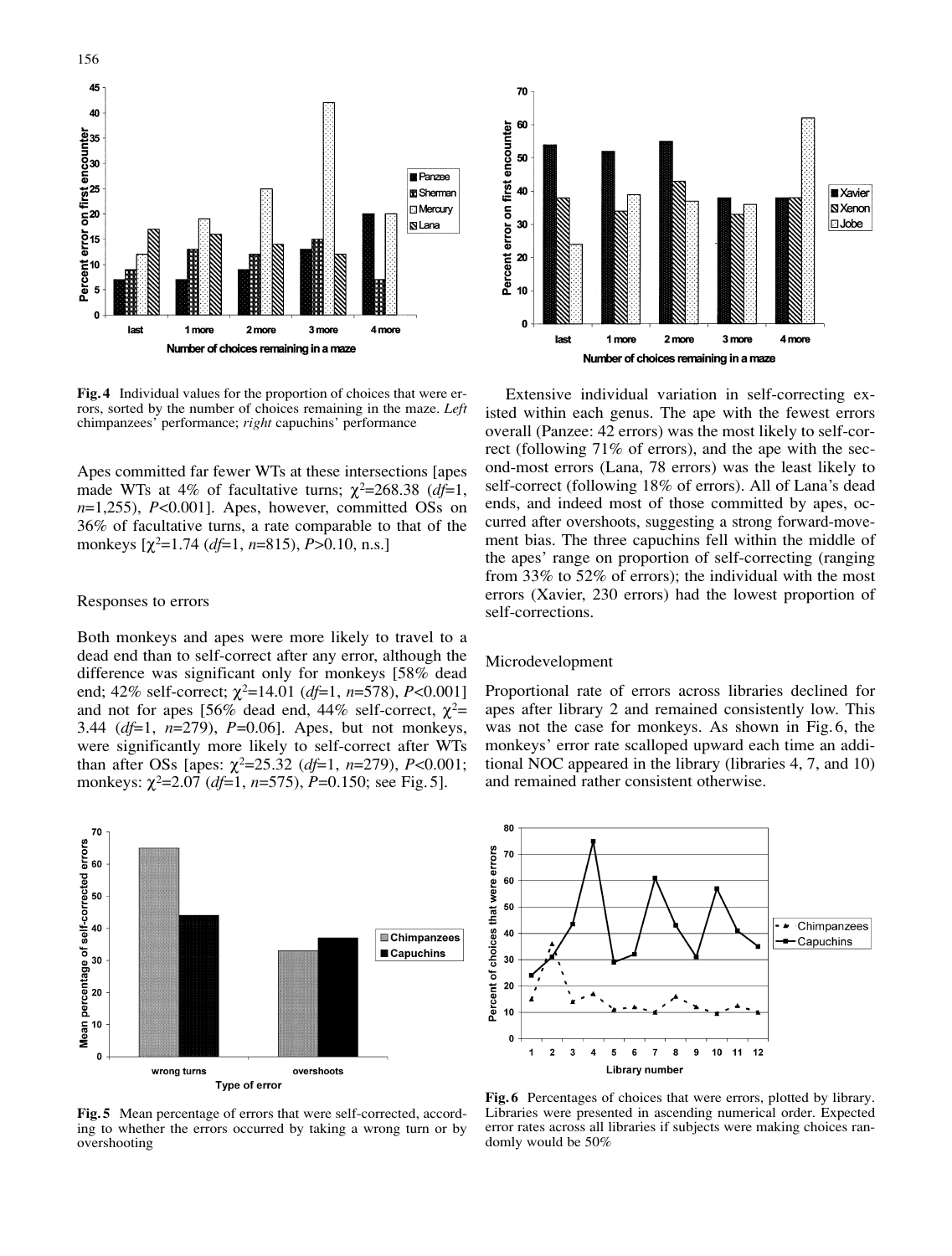



**Fig. 4** Individual values for the proportion of choices that were errors, sorted by the number of choices remaining in the maze. *Left* chimpanzees' performance; *right* capuchins' performance

Apes committed far fewer WTs at these intersections [apes made WTs at 4% of facultative turns;  $\chi^2$ =268.38 (*df*=1, *n*=1,255), *P*<0.001]. Apes, however, committed OSs on 36% of facultative turns, a rate comparable to that of the monkeys [χ2=1.74 (*df*=1, *n*=815), *P*>0.10, n.s.]

#### Responses to errors

Both monkeys and apes were more likely to travel to a dead end than to self-correct after any error, although the difference was significant only for monkeys [58% dead end; 42% self-correct; χ2=14.01 (*df*=1, *n*=578), *P*<0.001] and not for apes [56% dead end, 44% self-correct,  $\chi^2$ = 3.44 (*df*=1, *n*=279), *P*=0.06]. Apes, but not monkeys, were significantly more likely to self-correct after WTs than after OSs [apes: χ2=25.32 (*df*=1, *n*=279), *P*<0.001; monkeys: χ2=2.07 (*df*=1, *n*=575), *P*=0.150; see Fig. 5].



**Fig. 5** Mean percentage of errors that were self-corrected, according to whether the errors occurred by taking a wrong turn or by overshooting

Extensive individual variation in self-correcting existed within each genus. The ape with the fewest errors overall (Panzee: 42 errors) was the most likely to self-correct (following 71% of errors), and the ape with the second-most errors (Lana, 78 errors) was the least likely to self-correct (following 18% of errors). All of Lana's dead ends, and indeed most of those committed by apes, occurred after overshoots, suggesting a strong forward-movement bias. The three capuchins fell within the middle of the apes' range on proportion of self-correcting (ranging from 33% to 52% of errors); the individual with the most errors (Xavier, 230 errors) had the lowest proportion of self-corrections.

#### Microdevelopment

Proportional rate of errors across libraries declined for apes after library 2 and remained consistently low. This was not the case for monkeys. As shown in Fig. 6, the monkeys' error rate scalloped upward each time an additional NOC appeared in the library (libraries 4, 7, and 10) and remained rather consistent otherwise.



**Fig. 6** Percentages of choices that were errors, plotted by library. Libraries were presented in ascending numerical order. Expected error rates across all libraries if subjects were making choices randomly would be 50%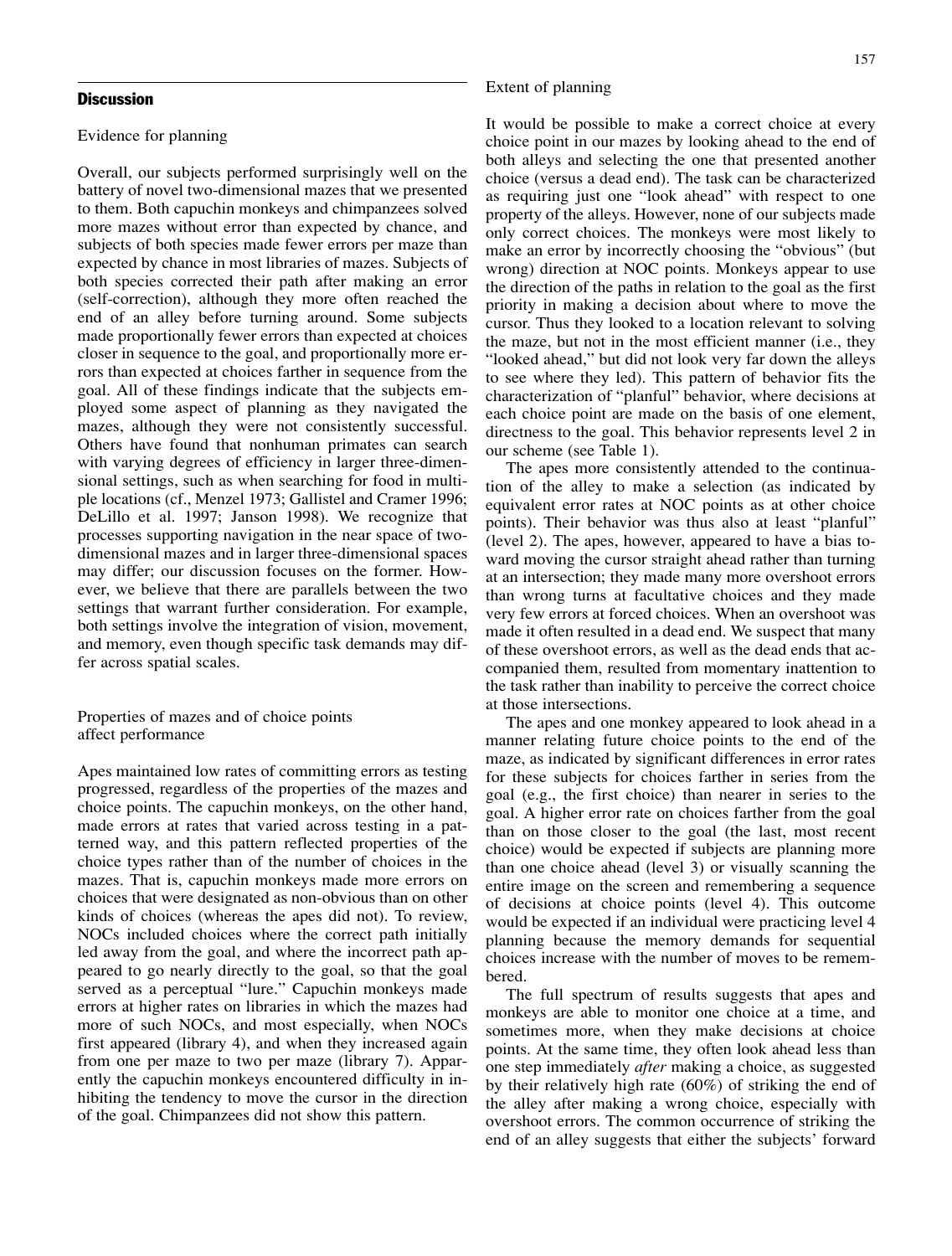# **Discussion**

### Evidence for planning

Overall, our subjects performed surprisingly well on the battery of novel two-dimensional mazes that we presented to them. Both capuchin monkeys and chimpanzees solved more mazes without error than expected by chance, and subjects of both species made fewer errors per maze than expected by chance in most libraries of mazes. Subjects of both species corrected their path after making an error (self-correction), although they more often reached the end of an alley before turning around. Some subjects made proportionally fewer errors than expected at choices closer in sequence to the goal, and proportionally more errors than expected at choices farther in sequence from the goal. All of these findings indicate that the subjects employed some aspect of planning as they navigated the mazes, although they were not consistently successful. Others have found that nonhuman primates can search with varying degrees of efficiency in larger three-dimensional settings, such as when searching for food in multiple locations (cf., Menzel 1973; Gallistel and Cramer 1996; DeLillo et al. 1997; Janson 1998). We recognize that processes supporting navigation in the near space of twodimensional mazes and in larger three-dimensional spaces may differ; our discussion focuses on the former. However, we believe that there are parallels between the two settings that warrant further consideration. For example, both settings involve the integration of vision, movement, and memory, even though specific task demands may differ across spatial scales.

# Properties of mazes and of choice points affect performance

Apes maintained low rates of committing errors as testing progressed, regardless of the properties of the mazes and choice points. The capuchin monkeys, on the other hand, made errors at rates that varied across testing in a patterned way, and this pattern reflected properties of the choice types rather than of the number of choices in the mazes. That is, capuchin monkeys made more errors on choices that were designated as non-obvious than on other kinds of choices (whereas the apes did not). To review, NOCs included choices where the correct path initially led away from the goal, and where the incorrect path appeared to go nearly directly to the goal, so that the goal served as a perceptual "lure." Capuchin monkeys made errors at higher rates on libraries in which the mazes had more of such NOCs, and most especially, when NOCs first appeared (library 4), and when they increased again from one per maze to two per maze (library 7). Apparently the capuchin monkeys encountered difficulty in inhibiting the tendency to move the cursor in the direction of the goal. Chimpanzees did not show this pattern.

#### Extent of planning

It would be possible to make a correct choice at every choice point in our mazes by looking ahead to the end of both alleys and selecting the one that presented another choice (versus a dead end). The task can be characterized as requiring just one "look ahead" with respect to one property of the alleys. However, none of our subjects made only correct choices. The monkeys were most likely to make an error by incorrectly choosing the "obvious" (but wrong) direction at NOC points. Monkeys appear to use the direction of the paths in relation to the goal as the first priority in making a decision about where to move the cursor. Thus they looked to a location relevant to solving the maze, but not in the most efficient manner (i.e., they "looked ahead," but did not look very far down the alleys to see where they led). This pattern of behavior fits the characterization of "planful" behavior, where decisions at each choice point are made on the basis of one element, directness to the goal. This behavior represents level 2 in our scheme (see Table 1).

The apes more consistently attended to the continuation of the alley to make a selection (as indicated by equivalent error rates at NOC points as at other choice points). Their behavior was thus also at least "planful" (level 2). The apes, however, appeared to have a bias toward moving the cursor straight ahead rather than turning at an intersection; they made many more overshoot errors than wrong turns at facultative choices and they made very few errors at forced choices. When an overshoot was made it often resulted in a dead end. We suspect that many of these overshoot errors, as well as the dead ends that accompanied them, resulted from momentary inattention to the task rather than inability to perceive the correct choice at those intersections.

The apes and one monkey appeared to look ahead in a manner relating future choice points to the end of the maze, as indicated by significant differences in error rates for these subjects for choices farther in series from the goal (e.g., the first choice) than nearer in series to the goal. A higher error rate on choices farther from the goal than on those closer to the goal (the last, most recent choice) would be expected if subjects are planning more than one choice ahead (level 3) or visually scanning the entire image on the screen and remembering a sequence of decisions at choice points (level 4). This outcome would be expected if an individual were practicing level 4 planning because the memory demands for sequential choices increase with the number of moves to be remembered.

The full spectrum of results suggests that apes and monkeys are able to monitor one choice at a time, and sometimes more, when they make decisions at choice points. At the same time, they often look ahead less than one step immediately *after* making a choice, as suggested by their relatively high rate (60%) of striking the end of the alley after making a wrong choice, especially with overshoot errors. The common occurrence of striking the end of an alley suggests that either the subjects' forward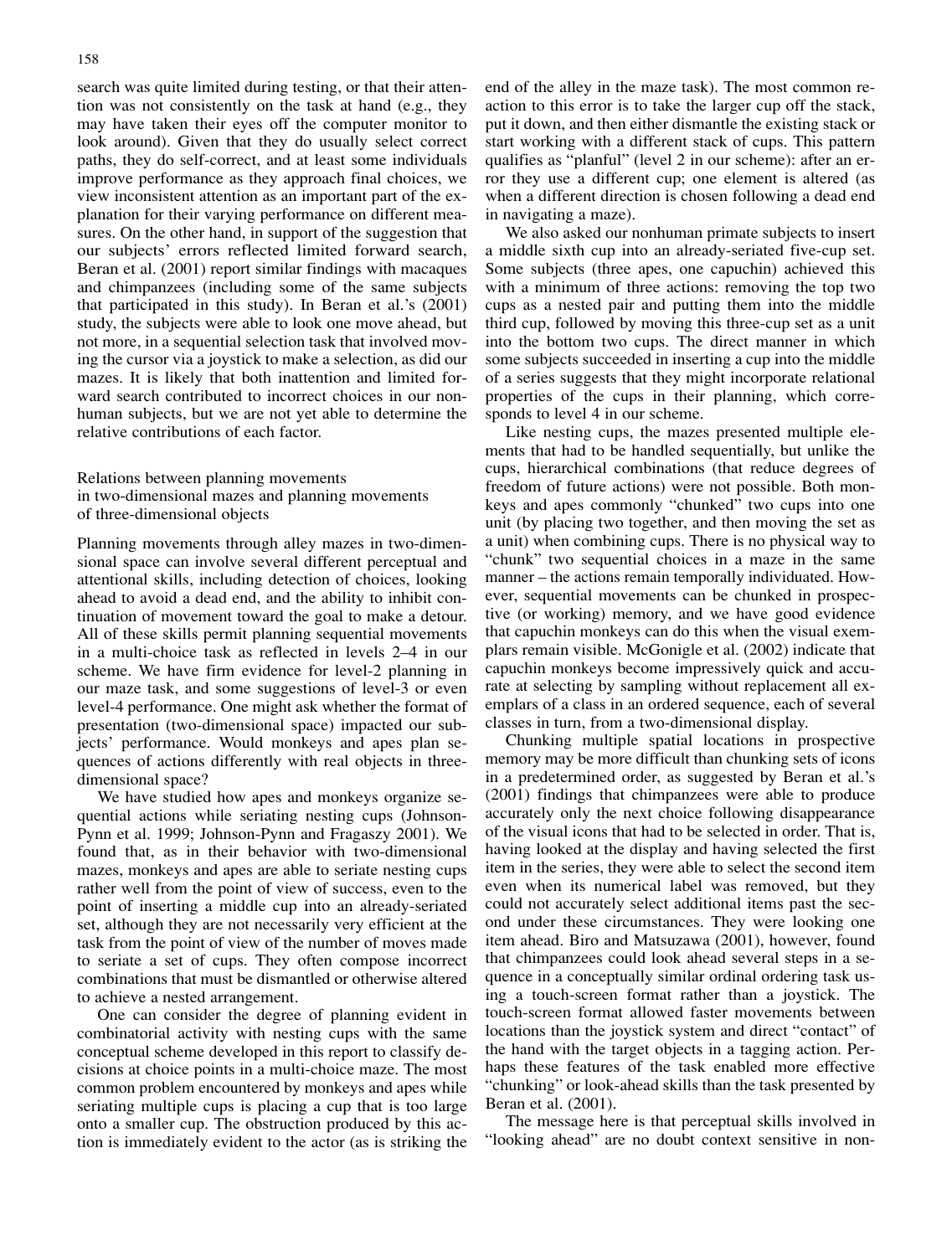search was quite limited during testing, or that their attention was not consistently on the task at hand (e.g., they may have taken their eyes off the computer monitor to look around). Given that they do usually select correct paths, they do self-correct, and at least some individuals improve performance as they approach final choices, we view inconsistent attention as an important part of the explanation for their varying performance on different measures. On the other hand, in support of the suggestion that our subjects' errors reflected limited forward search, Beran et al. (2001) report similar findings with macaques and chimpanzees (including some of the same subjects that participated in this study). In Beran et al.'s (2001) study, the subjects were able to look one move ahead, but not more, in a sequential selection task that involved moving the cursor via a joystick to make a selection, as did our mazes. It is likely that both inattention and limited forward search contributed to incorrect choices in our nonhuman subjects, but we are not yet able to determine the relative contributions of each factor.

# Relations between planning movements in two-dimensional mazes and planning movements of three-dimensional objects

Planning movements through alley mazes in two-dimensional space can involve several different perceptual and attentional skills, including detection of choices, looking ahead to avoid a dead end, and the ability to inhibit continuation of movement toward the goal to make a detour. All of these skills permit planning sequential movements in a multi-choice task as reflected in levels 2–4 in our scheme. We have firm evidence for level-2 planning in our maze task, and some suggestions of level-3 or even level-4 performance. One might ask whether the format of presentation (two-dimensional space) impacted our subjects' performance. Would monkeys and apes plan sequences of actions differently with real objects in threedimensional space?

We have studied how apes and monkeys organize sequential actions while seriating nesting cups (Johnson-Pynn et al. 1999; Johnson-Pynn and Fragaszy 2001). We found that, as in their behavior with two-dimensional mazes, monkeys and apes are able to seriate nesting cups rather well from the point of view of success, even to the point of inserting a middle cup into an already-seriated set, although they are not necessarily very efficient at the task from the point of view of the number of moves made to seriate a set of cups. They often compose incorrect combinations that must be dismantled or otherwise altered to achieve a nested arrangement.

One can consider the degree of planning evident in combinatorial activity with nesting cups with the same conceptual scheme developed in this report to classify decisions at choice points in a multi-choice maze. The most common problem encountered by monkeys and apes while seriating multiple cups is placing a cup that is too large onto a smaller cup. The obstruction produced by this action is immediately evident to the actor (as is striking the

end of the alley in the maze task). The most common reaction to this error is to take the larger cup off the stack, put it down, and then either dismantle the existing stack or start working with a different stack of cups. This pattern qualifies as "planful" (level 2 in our scheme): after an error they use a different cup; one element is altered (as when a different direction is chosen following a dead end in navigating a maze).

We also asked our nonhuman primate subjects to insert a middle sixth cup into an already-seriated five-cup set. Some subjects (three apes, one capuchin) achieved this with a minimum of three actions: removing the top two cups as a nested pair and putting them into the middle third cup, followed by moving this three-cup set as a unit into the bottom two cups. The direct manner in which some subjects succeeded in inserting a cup into the middle of a series suggests that they might incorporate relational properties of the cups in their planning, which corresponds to level 4 in our scheme.

Like nesting cups, the mazes presented multiple elements that had to be handled sequentially, but unlike the cups, hierarchical combinations (that reduce degrees of freedom of future actions) were not possible. Both monkeys and apes commonly "chunked" two cups into one unit (by placing two together, and then moving the set as a unit) when combining cups. There is no physical way to "chunk" two sequential choices in a maze in the same manner – the actions remain temporally individuated. However, sequential movements can be chunked in prospective (or working) memory, and we have good evidence that capuchin monkeys can do this when the visual exemplars remain visible. McGonigle et al. (2002) indicate that capuchin monkeys become impressively quick and accurate at selecting by sampling without replacement all exemplars of a class in an ordered sequence, each of several classes in turn, from a two-dimensional display.

Chunking multiple spatial locations in prospective memory may be more difficult than chunking sets of icons in a predetermined order, as suggested by Beran et al.'s (2001) findings that chimpanzees were able to produce accurately only the next choice following disappearance of the visual icons that had to be selected in order. That is, having looked at the display and having selected the first item in the series, they were able to select the second item even when its numerical label was removed, but they could not accurately select additional items past the second under these circumstances. They were looking one item ahead. Biro and Matsuzawa (2001), however, found that chimpanzees could look ahead several steps in a sequence in a conceptually similar ordinal ordering task using a touch-screen format rather than a joystick. The touch-screen format allowed faster movements between locations than the joystick system and direct "contact" of the hand with the target objects in a tagging action. Perhaps these features of the task enabled more effective "chunking" or look-ahead skills than the task presented by Beran et al. (2001).

The message here is that perceptual skills involved in "looking ahead" are no doubt context sensitive in non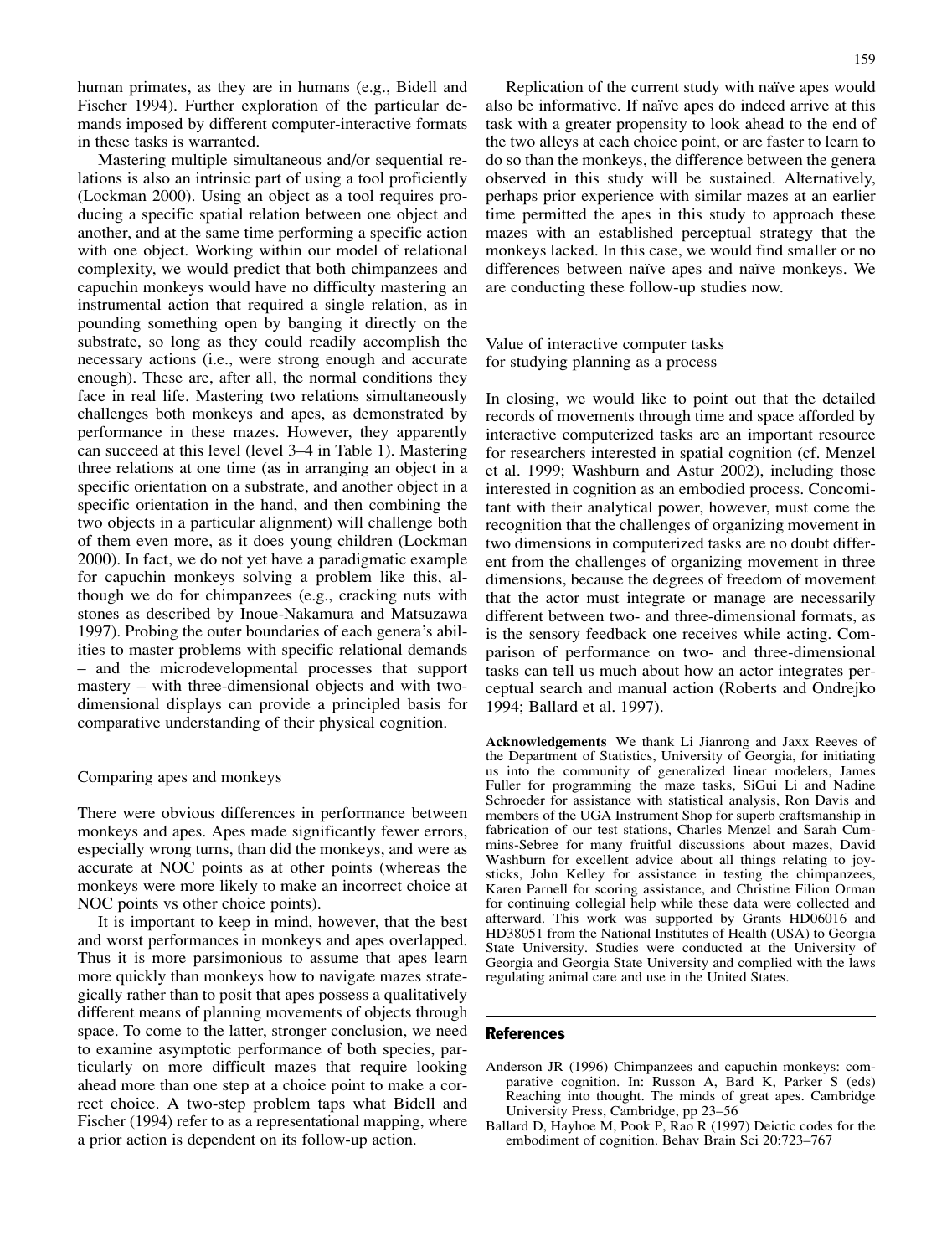human primates, as they are in humans (e.g., Bidell and Fischer 1994). Further exploration of the particular demands imposed by different computer-interactive formats in these tasks is warranted.

Mastering multiple simultaneous and/or sequential relations is also an intrinsic part of using a tool proficiently (Lockman 2000). Using an object as a tool requires producing a specific spatial relation between one object and another, and at the same time performing a specific action with one object. Working within our model of relational complexity, we would predict that both chimpanzees and capuchin monkeys would have no difficulty mastering an instrumental action that required a single relation, as in pounding something open by banging it directly on the substrate, so long as they could readily accomplish the necessary actions (i.e., were strong enough and accurate enough). These are, after all, the normal conditions they face in real life. Mastering two relations simultaneously challenges both monkeys and apes, as demonstrated by performance in these mazes. However, they apparently can succeed at this level (level 3–4 in Table 1). Mastering three relations at one time (as in arranging an object in a specific orientation on a substrate, and another object in a specific orientation in the hand, and then combining the two objects in a particular alignment) will challenge both of them even more, as it does young children (Lockman 2000). In fact, we do not yet have a paradigmatic example for capuchin monkeys solving a problem like this, although we do for chimpanzees (e.g., cracking nuts with stones as described by Inoue-Nakamura and Matsuzawa 1997). Probing the outer boundaries of each genera's abilities to master problems with specific relational demands – and the microdevelopmental processes that support mastery – with three-dimensional objects and with twodimensional displays can provide a principled basis for comparative understanding of their physical cognition.

#### Comparing apes and monkeys

There were obvious differences in performance between monkeys and apes. Apes made significantly fewer errors, especially wrong turns, than did the monkeys, and were as accurate at NOC points as at other points (whereas the monkeys were more likely to make an incorrect choice at NOC points vs other choice points).

It is important to keep in mind, however, that the best and worst performances in monkeys and apes overlapped. Thus it is more parsimonious to assume that apes learn more quickly than monkeys how to navigate mazes strategically rather than to posit that apes possess a qualitatively different means of planning movements of objects through space. To come to the latter, stronger conclusion, we need to examine asymptotic performance of both species, particularly on more difficult mazes that require looking ahead more than one step at a choice point to make a correct choice. A two-step problem taps what Bidell and Fischer (1994) refer to as a representational mapping, where a prior action is dependent on its follow-up action.

Replication of the current study with naïve apes would also be informative. If naïve apes do indeed arrive at this task with a greater propensity to look ahead to the end of the two alleys at each choice point, or are faster to learn to do so than the monkeys, the difference between the genera observed in this study will be sustained. Alternatively, perhaps prior experience with similar mazes at an earlier time permitted the apes in this study to approach these mazes with an established perceptual strategy that the monkeys lacked. In this case, we would find smaller or no differences between naïve apes and naïve monkeys. We are conducting these follow-up studies now.

Value of interactive computer tasks for studying planning as a process

In closing, we would like to point out that the detailed records of movements through time and space afforded by interactive computerized tasks are an important resource for researchers interested in spatial cognition (cf. Menzel et al. 1999; Washburn and Astur 2002), including those interested in cognition as an embodied process. Concomitant with their analytical power, however, must come the recognition that the challenges of organizing movement in two dimensions in computerized tasks are no doubt different from the challenges of organizing movement in three dimensions, because the degrees of freedom of movement that the actor must integrate or manage are necessarily different between two- and three-dimensional formats, as is the sensory feedback one receives while acting. Comparison of performance on two- and three-dimensional tasks can tell us much about how an actor integrates perceptual search and manual action (Roberts and Ondrejko 1994; Ballard et al. 1997).

**Acknowledgements** We thank Li Jianrong and Jaxx Reeves of the Department of Statistics, University of Georgia, for initiating us into the community of generalized linear modelers, James Fuller for programming the maze tasks, SiGui Li and Nadine Schroeder for assistance with statistical analysis, Ron Davis and members of the UGA Instrument Shop for superb craftsmanship in fabrication of our test stations, Charles Menzel and Sarah Cummins-Sebree for many fruitful discussions about mazes, David Washburn for excellent advice about all things relating to joysticks, John Kelley for assistance in testing the chimpanzees, Karen Parnell for scoring assistance, and Christine Filion Orman for continuing collegial help while these data were collected and afterward. This work was supported by Grants HD06016 and HD38051 from the National Institutes of Health (USA) to Georgia State University. Studies were conducted at the University of Georgia and Georgia State University and complied with the laws regulating animal care and use in the United States.

# References

- Anderson JR (1996) Chimpanzees and capuchin monkeys: comparative cognition. In: Russon A, Bard K, Parker S (eds) Reaching into thought. The minds of great apes. Cambridge University Press, Cambridge, pp 23–56
- Ballard D, Hayhoe M, Pook P, Rao R (1997) Deictic codes for the embodiment of cognition. Behav Brain Sci 20:723–767